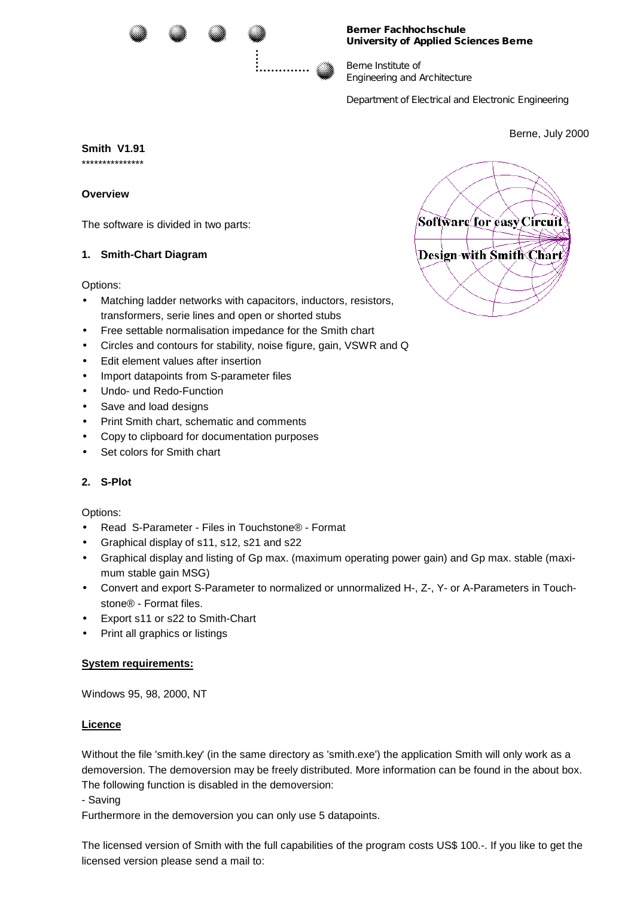

#### Berner Fa chhochs chu le University of Applied Sciences Berne

Berre In titu te of En ineering and Architecture

Department of Electrica I and Electronic Engineering

Berne, July 2000

Smith V1.91

## Overview

The software is divided in two parts:

# 1. Smith-Chart Diagram

Options:

- Matching ladder networks with capacitors, inductors, resistors,  $\bullet$ transformers, serie lines and open or shorted stubs
- Free settable normalisation impedance for the Smith chart
- Circles and contours for stability, noise figure, gain, VSWR and Q
- Edit element values after insertion
- Import datapoints from S-parameter files
- Undo- und Redo-Function
- Save and load designs
- Print Smith chart, schematic and comments
- Copy to clipboard for documentation purposes
- Set colors for Smith chart

### 2. S-Plot

### Options:

- Read S-Parameter Files in Touchstone® Format
- Graphical display of s11, s12, s21 and s22
- Graphical display and listing of Gp max. (maximum operating power gain) and Gp max. stable (maximum stable gain MSG)
- Convert and export S-Parameter to normalized or unnormalized H-, Z-, Y- or A-Parameters in Touchstone<sup>®</sup> - Format files.
- Export s11 or s22 to Smith-Chart
- Print all graphics or listings

### **System requirements:**

Windows 95, 98, 2000, NT

### Licence

Without the file 'smith.key' (in the same directory as 'smith.exe') the application Smith will only work as a demoversion. The demoversion may be freely distributed. More information can be found in the about box. The following function is disabled in the demoversion:

- Saving

Furthermore in the demoversion you can only use 5 datapoints.

The licensed version of Smith with the full capabilities of the program costs US\$ 100.-. If you like to get the licensed version please send a mail to: